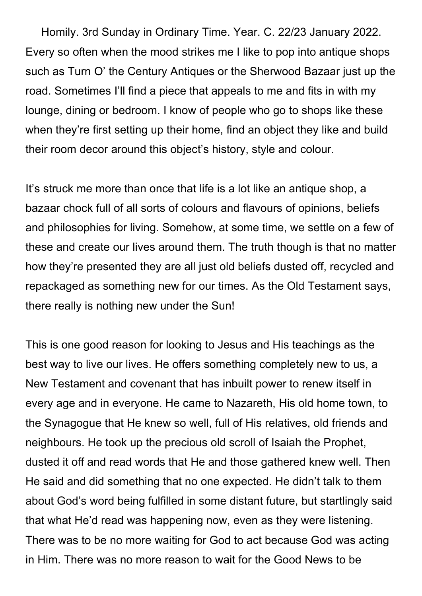Homily. 3rd Sunday in Ordinary Time. Year. C. 22/23 January 2022. Every so often when the mood strikes me I like to pop into antique shops such as Turn O' the Century Antiques or the Sherwood Bazaar just up the road. Sometimes I'll find a piece that appeals to me and fits in with my lounge, dining or bedroom. I know of people who go to shops like these when they're first setting up their home, find an object they like and build their room decor around this object's history, style and colour.

It's struck me more than once that life is a lot like an antique shop, a bazaar chock full of all sorts of colours and flavours of opinions, beliefs and philosophies for living. Somehow, at some time, we settle on a few of these and create our lives around them. The truth though is that no matter how they're presented they are all just old beliefs dusted off, recycled and repackaged as something new for our times. As the Old Testament says, there really is nothing new under the Sun!

This is one good reason for looking to Jesus and His teachings as the best way to live our lives. He offers something completely new to us, a New Testament and covenant that has inbuilt power to renew itself in every age and in everyone. He came to Nazareth, His old home town, to the Synagogue that He knew so well, full of His relatives, old friends and neighbours. He took up the precious old scroll of Isaiah the Prophet, dusted it off and read words that He and those gathered knew well. Then He said and did something that no one expected. He didn't talk to them about God's word being fulfilled in some distant future, but startlingly said that what He'd read was happening now, even as they were listening. There was to be no more waiting for God to act because God was acting in Him. There was no more reason to wait for the Good News to be